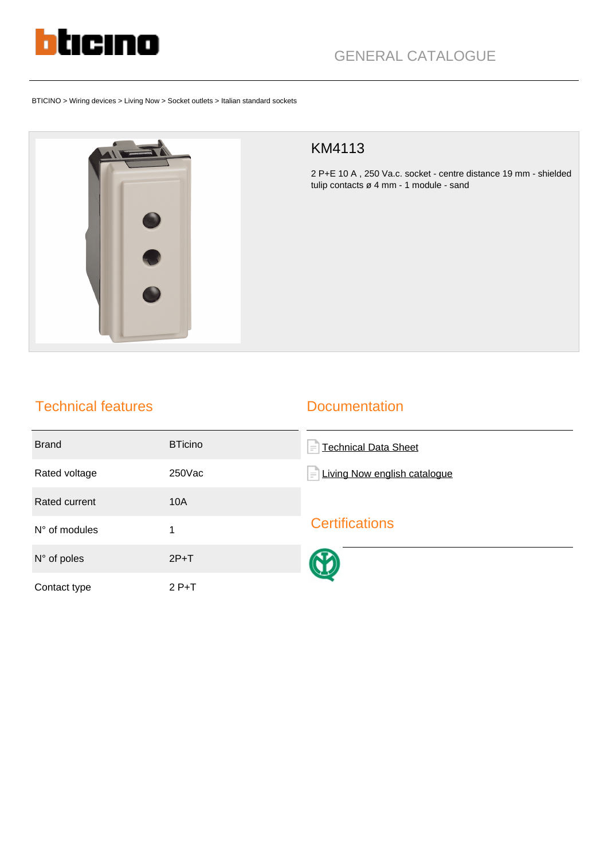

BTICINO > Wiring devices > Living Now > Socket outlets > Italian standard sockets



## KM4113

2 P+E 10 A , 250 Va.c. socket - centre distance 19 mm - shielded tulip contacts ø 4 mm - 1 module - sand

## Technical features

## **Documentation**

| <b>Brand</b>           | <b>BTicino</b> | <b>Technical Data Sheet</b><br>$\equiv$  |
|------------------------|----------------|------------------------------------------|
| Rated voltage          | 250Vac         | Living Now english catalogue<br>$\equiv$ |
| Rated current          | 10A            |                                          |
| $N^{\circ}$ of modules | 1              | <b>Certifications</b>                    |
| $N^{\circ}$ of poles   | $2P+T$         |                                          |
| Contact type           | $2P+T$         |                                          |